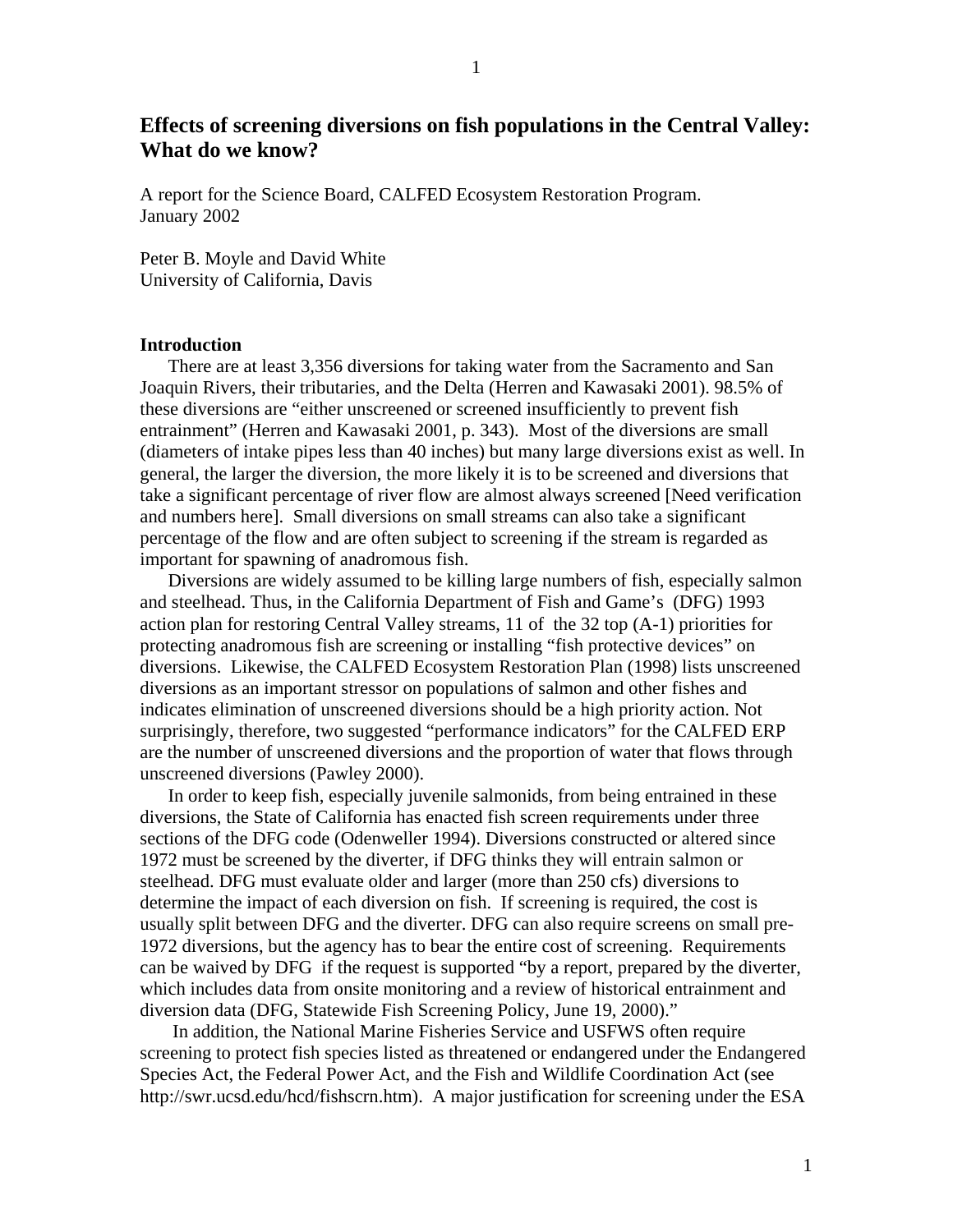# **Effects of screening diversions on fish populations in the Central Valley: What do we know?**

A report for the Science Board, CALFED Ecosystem Restoration Program. January 2002

Peter B. Moyle and David White University of California, Davis

#### **Introduction**

There are at least 3,356 diversions for taking water from the Sacramento and San Joaquin Rivers, their tributaries, and the Delta (Herren and Kawasaki 2001). 98.5% of these diversions are "either unscreened or screened insufficiently to prevent fish entrainment" (Herren and Kawasaki 2001, p. 343). Most of the diversions are small (diameters of intake pipes less than 40 inches) but many large diversions exist as well. In general, the larger the diversion, the more likely it is to be screened and diversions that take a significant percentage of river flow are almost always screened [Need verification and numbers here]. Small diversions on small streams can also take a significant percentage of the flow and are often subject to screening if the stream is regarded as important for spawning of anadromous fish.

Diversions are widely assumed to be killing large numbers of fish, especially salmon and steelhead. Thus, in the California Department of Fish and Game's (DFG) 1993 action plan for restoring Central Valley streams, 11 of the 32 top (A-1) priorities for protecting anadromous fish are screening or installing "fish protective devices" on diversions. Likewise, the CALFED Ecosystem Restoration Plan (1998) lists unscreened diversions as an important stressor on populations of salmon and other fishes and indicates elimination of unscreened diversions should be a high priority action. Not surprisingly, therefore, two suggested "performance indicators" for the CALFED ERP are the number of unscreened diversions and the proportion of water that flows through unscreened diversions (Pawley 2000).

In order to keep fish, especially juvenile salmonids, from being entrained in these diversions, the State of California has enacted fish screen requirements under three sections of the DFG code (Odenweller 1994). Diversions constructed or altered since 1972 must be screened by the diverter, if DFG thinks they will entrain salmon or steelhead. DFG must evaluate older and larger (more than 250 cfs) diversions to determine the impact of each diversion on fish. If screening is required, the cost is usually split between DFG and the diverter. DFG can also require screens on small pre-1972 diversions, but the agency has to bear the entire cost of screening. Requirements can be waived by DFG if the request is supported "by a report, prepared by the diverter, which includes data from onsite monitoring and a review of historical entrainment and diversion data (DFG, Statewide Fish Screening Policy, June 19, 2000)."

 In addition, the National Marine Fisheries Service and USFWS often require screening to protect fish species listed as threatened or endangered under the Endangered Species Act, the Federal Power Act, and the Fish and Wildlife Coordination Act (see http://swr.ucsd.edu/hcd/fishscrn.htm). A major justification for screening under the ESA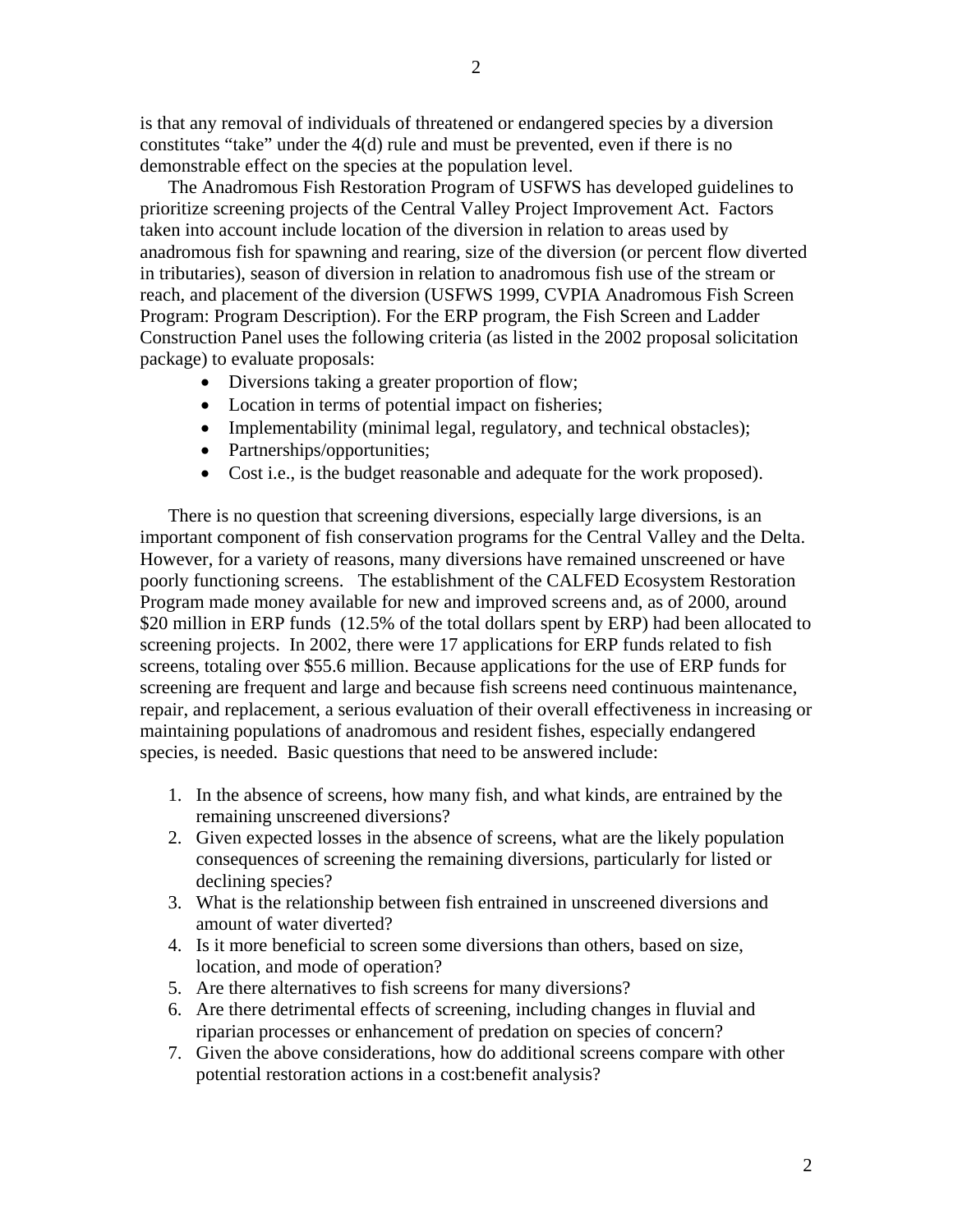2

is that any removal of individuals of threatened or endangered species by a diversion constitutes "take" under the 4(d) rule and must be prevented, even if there is no demonstrable effect on the species at the population level.

The Anadromous Fish Restoration Program of USFWS has developed guidelines to prioritize screening projects of the Central Valley Project Improvement Act. Factors taken into account include location of the diversion in relation to areas used by anadromous fish for spawning and rearing, size of the diversion (or percent flow diverted in tributaries), season of diversion in relation to anadromous fish use of the stream or reach, and placement of the diversion (USFWS 1999, CVPIA Anadromous Fish Screen Program: Program Description). For the ERP program, the Fish Screen and Ladder Construction Panel uses the following criteria (as listed in the 2002 proposal solicitation package) to evaluate proposals:

- Diversions taking a greater proportion of flow;
- Location in terms of potential impact on fisheries;
- Implementability (minimal legal, regulatory, and technical obstacles);
- Partnerships/opportunities;
- Cost i.e., is the budget reasonable and adequate for the work proposed).

There is no question that screening diversions, especially large diversions, is an important component of fish conservation programs for the Central Valley and the Delta. However, for a variety of reasons, many diversions have remained unscreened or have poorly functioning screens. The establishment of the CALFED Ecosystem Restoration Program made money available for new and improved screens and, as of 2000, around \$20 million in ERP funds (12.5% of the total dollars spent by ERP) had been allocated to screening projects. In 2002, there were 17 applications for ERP funds related to fish screens, totaling over \$55.6 million. Because applications for the use of ERP funds for screening are frequent and large and because fish screens need continuous maintenance, repair, and replacement, a serious evaluation of their overall effectiveness in increasing or maintaining populations of anadromous and resident fishes, especially endangered species, is needed. Basic questions that need to be answered include:

- 1. In the absence of screens, how many fish, and what kinds, are entrained by the remaining unscreened diversions?
- 2. Given expected losses in the absence of screens, what are the likely population consequences of screening the remaining diversions, particularly for listed or declining species?
- 3. What is the relationship between fish entrained in unscreened diversions and amount of water diverted?
- 4. Is it more beneficial to screen some diversions than others, based on size, location, and mode of operation?
- 5. Are there alternatives to fish screens for many diversions?
- 6. Are there detrimental effects of screening, including changes in fluvial and riparian processes or enhancement of predation on species of concern?
- 7. Given the above considerations, how do additional screens compare with other potential restoration actions in a cost:benefit analysis?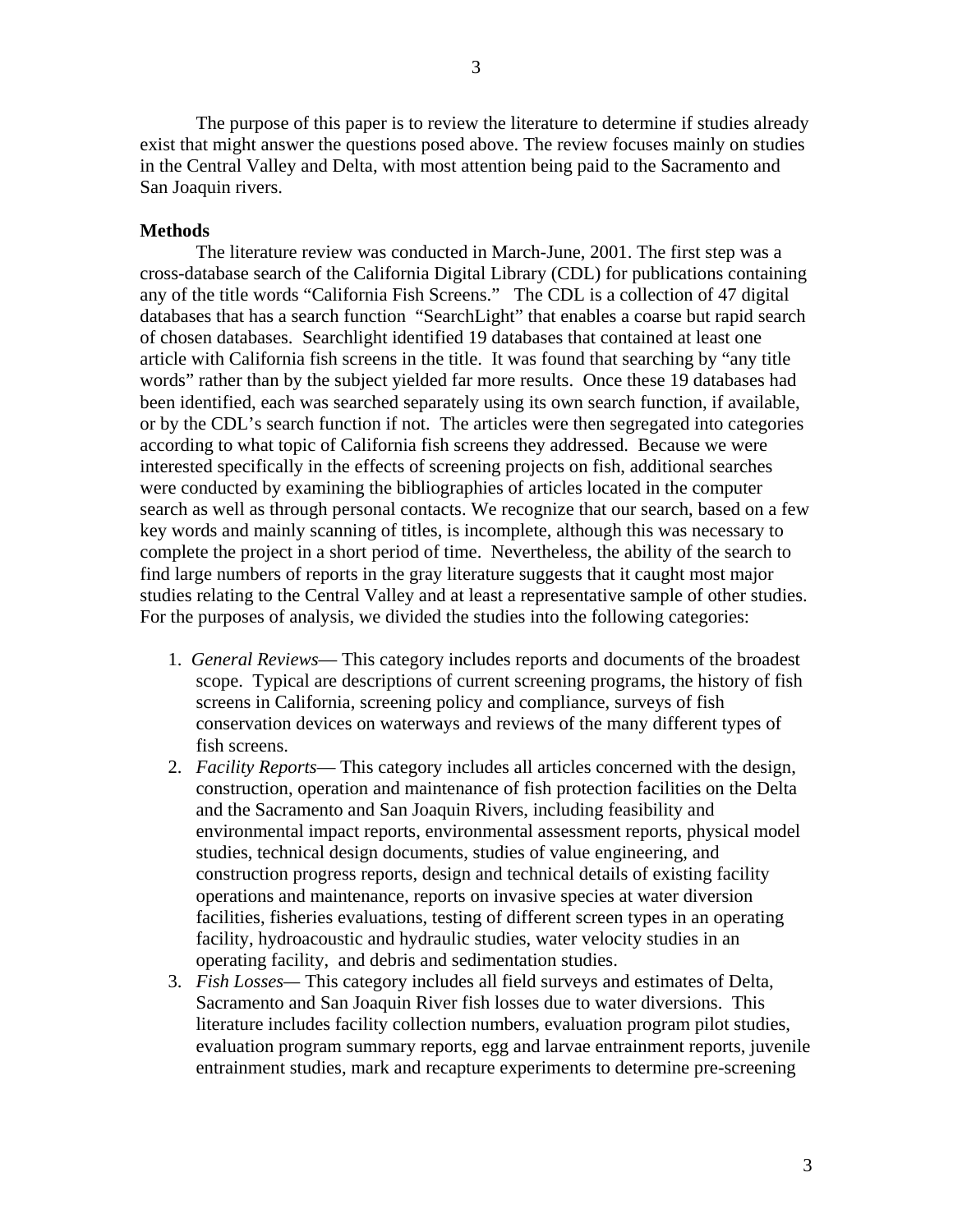The purpose of this paper is to review the literature to determine if studies already exist that might answer the questions posed above. The review focuses mainly on studies in the Central Valley and Delta, with most attention being paid to the Sacramento and San Joaquin rivers.

#### **Methods**

The literature review was conducted in March-June, 2001. The first step was a cross-database search of the California Digital Library (CDL) for publications containing any of the title words "California Fish Screens." The CDL is a collection of 47 digital databases that has a search function "SearchLight" that enables a coarse but rapid search of chosen databases. Searchlight identified 19 databases that contained at least one article with California fish screens in the title. It was found that searching by "any title words" rather than by the subject yielded far more results. Once these 19 databases had been identified, each was searched separately using its own search function, if available, or by the CDL's search function if not. The articles were then segregated into categories according to what topic of California fish screens they addressed. Because we were interested specifically in the effects of screening projects on fish, additional searches were conducted by examining the bibliographies of articles located in the computer search as well as through personal contacts. We recognize that our search, based on a few key words and mainly scanning of titles, is incomplete, although this was necessary to complete the project in a short period of time. Nevertheless, the ability of the search to find large numbers of reports in the gray literature suggests that it caught most major studies relating to the Central Valley and at least a representative sample of other studies. For the purposes of analysis, we divided the studies into the following categories:

- 1. *General Reviews* This category includes reports and documents of the broadest scope. Typical are descriptions of current screening programs, the history of fish screens in California, screening policy and compliance, surveys of fish conservation devices on waterways and reviews of the many different types of fish screens.
- 2. *Facility Reports* This category includes all articles concerned with the design, construction, operation and maintenance of fish protection facilities on the Delta and the Sacramento and San Joaquin Rivers, including feasibility and environmental impact reports, environmental assessment reports, physical model studies, technical design documents, studies of value engineering, and construction progress reports, design and technical details of existing facility operations and maintenance, reports on invasive species at water diversion facilities, fisheries evaluations, testing of different screen types in an operating facility, hydroacoustic and hydraulic studies, water velocity studies in an operating facility, and debris and sedimentation studies.
- 3. *Fish Losses—* This category includes all field surveys and estimates of Delta, Sacramento and San Joaquin River fish losses due to water diversions. This literature includes facility collection numbers, evaluation program pilot studies, evaluation program summary reports, egg and larvae entrainment reports, juvenile entrainment studies, mark and recapture experiments to determine pre-screening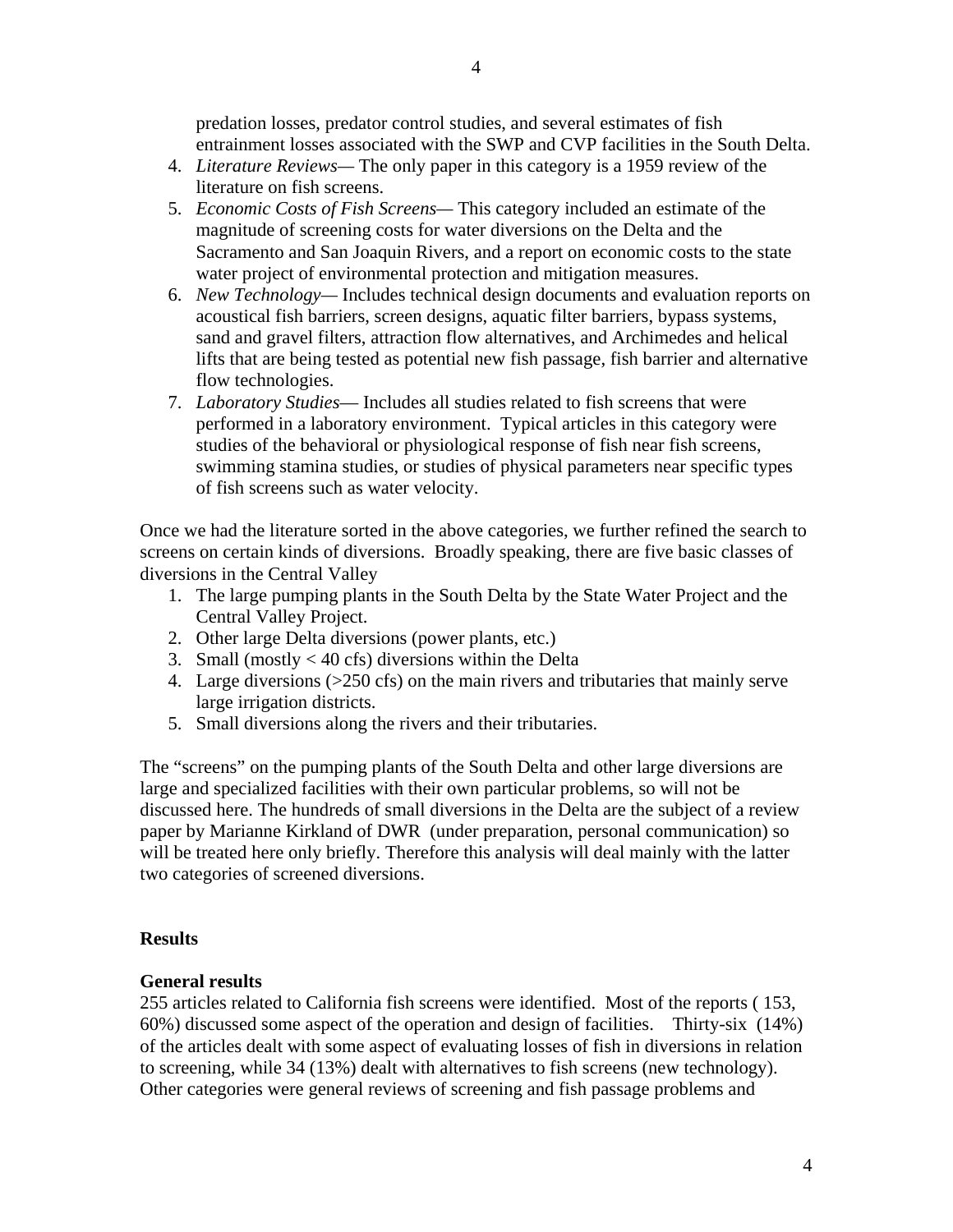predation losses, predator control studies, and several estimates of fish entrainment losses associated with the SWP and CVP facilities in the South Delta.

- 4. *Literature Reviews—* The only paper in this category is a 1959 review of the literature on fish screens.
- 5. *Economic Costs of Fish Screens—* This category included an estimate of the magnitude of screening costs for water diversions on the Delta and the Sacramento and San Joaquin Rivers, and a report on economic costs to the state water project of environmental protection and mitigation measures.
- 6. *New Technology—* Includes technical design documents and evaluation reports on acoustical fish barriers, screen designs, aquatic filter barriers, bypass systems, sand and gravel filters, attraction flow alternatives, and Archimedes and helical lifts that are being tested as potential new fish passage, fish barrier and alternative flow technologies.
- 7. *Laboratory Studies* Includes all studies related to fish screens that were performed in a laboratory environment. Typical articles in this category were studies of the behavioral or physiological response of fish near fish screens, swimming stamina studies, or studies of physical parameters near specific types of fish screens such as water velocity.

Once we had the literature sorted in the above categories, we further refined the search to screens on certain kinds of diversions. Broadly speaking, there are five basic classes of diversions in the Central Valley

- 1. The large pumping plants in the South Delta by the State Water Project and the Central Valley Project.
- 2. Other large Delta diversions (power plants, etc.)
- 3. Small (mostly  $<$  40 cfs) diversions within the Delta
- 4. Large diversions (>250 cfs) on the main rivers and tributaries that mainly serve large irrigation districts.
- 5. Small diversions along the rivers and their tributaries.

The "screens" on the pumping plants of the South Delta and other large diversions are large and specialized facilities with their own particular problems, so will not be discussed here. The hundreds of small diversions in the Delta are the subject of a review paper by Marianne Kirkland of DWR (under preparation, personal communication) so will be treated here only briefly. Therefore this analysis will deal mainly with the latter two categories of screened diversions.

#### **Results**

#### **General results**

255 articles related to California fish screens were identified. Most of the reports ( 153, 60%) discussed some aspect of the operation and design of facilities. Thirty-six (14%) of the articles dealt with some aspect of evaluating losses of fish in diversions in relation to screening, while 34 (13%) dealt with alternatives to fish screens (new technology). Other categories were general reviews of screening and fish passage problems and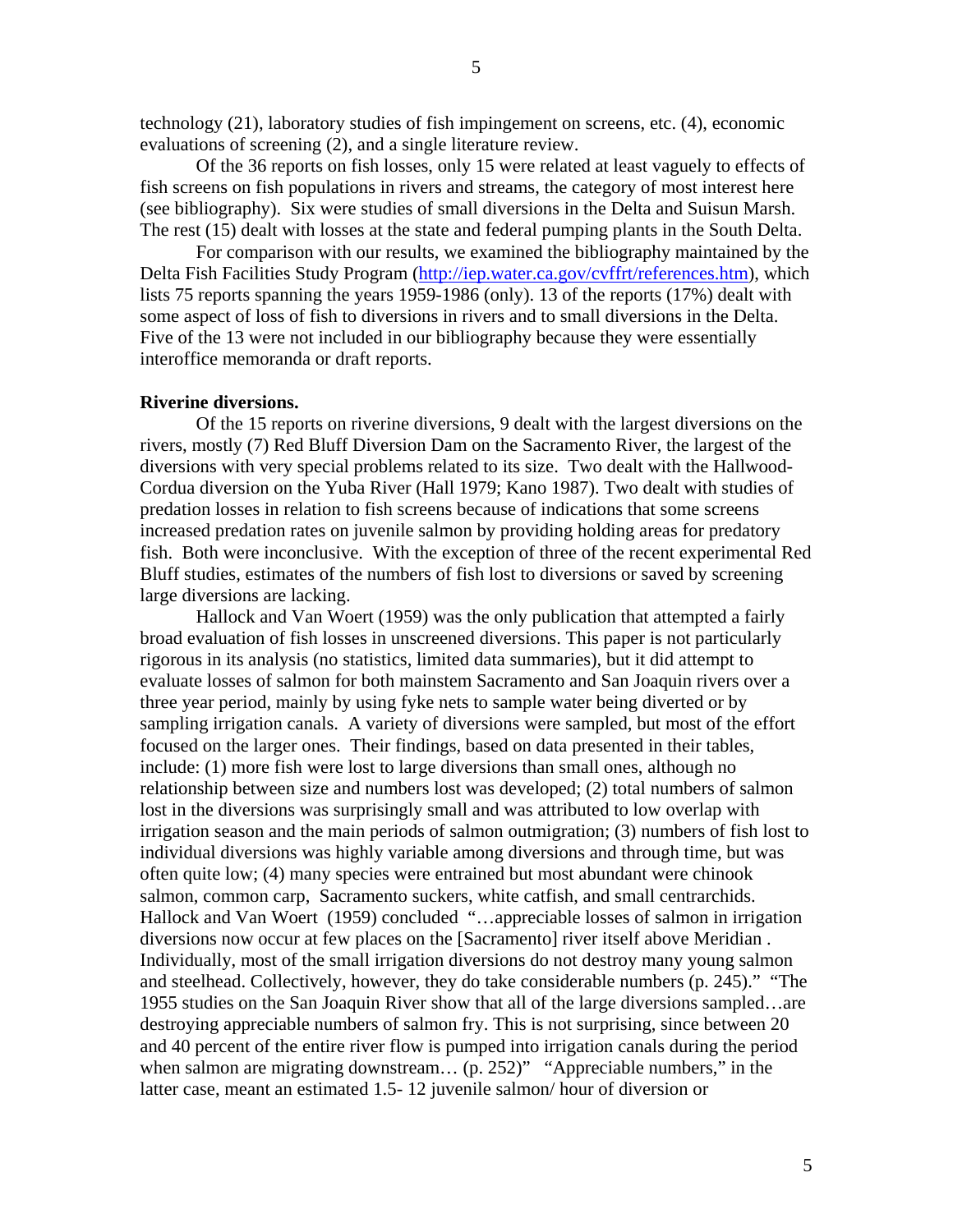technology (21), laboratory studies of fish impingement on screens, etc. (4), economic evaluations of screening (2), and a single literature review.

Of the 36 reports on fish losses, only 15 were related at least vaguely to effects of fish screens on fish populations in rivers and streams, the category of most interest here (see bibliography). Six were studies of small diversions in the Delta and Suisun Marsh. The rest (15) dealt with losses at the state and federal pumping plants in the South Delta.

 For comparison with our results, we examined the bibliography maintained by the Delta Fish Facilities Study Program (http://iep.water.ca.gov/cvffrt/references.htm), which lists 75 reports spanning the years 1959-1986 (only). 13 of the reports (17%) dealt with some aspect of loss of fish to diversions in rivers and to small diversions in the Delta. Five of the 13 were not included in our bibliography because they were essentially interoffice memoranda or draft reports.

#### **Riverine diversions.**

Of the 15 reports on riverine diversions, 9 dealt with the largest diversions on the rivers, mostly (7) Red Bluff Diversion Dam on the Sacramento River, the largest of the diversions with very special problems related to its size. Two dealt with the Hallwood-Cordua diversion on the Yuba River (Hall 1979; Kano 1987). Two dealt with studies of predation losses in relation to fish screens because of indications that some screens increased predation rates on juvenile salmon by providing holding areas for predatory fish. Both were inconclusive. With the exception of three of the recent experimental Red Bluff studies, estimates of the numbers of fish lost to diversions or saved by screening large diversions are lacking.

Hallock and Van Woert (1959) was the only publication that attempted a fairly broad evaluation of fish losses in unscreened diversions. This paper is not particularly rigorous in its analysis (no statistics, limited data summaries), but it did attempt to evaluate losses of salmon for both mainstem Sacramento and San Joaquin rivers over a three year period, mainly by using fyke nets to sample water being diverted or by sampling irrigation canals. A variety of diversions were sampled, but most of the effort focused on the larger ones. Their findings, based on data presented in their tables, include: (1) more fish were lost to large diversions than small ones, although no relationship between size and numbers lost was developed; (2) total numbers of salmon lost in the diversions was surprisingly small and was attributed to low overlap with irrigation season and the main periods of salmon outmigration; (3) numbers of fish lost to individual diversions was highly variable among diversions and through time, but was often quite low; (4) many species were entrained but most abundant were chinook salmon, common carp, Sacramento suckers, white catfish, and small centrarchids. Hallock and Van Woert (1959) concluded "…appreciable losses of salmon in irrigation diversions now occur at few places on the [Sacramento] river itself above Meridian . Individually, most of the small irrigation diversions do not destroy many young salmon and steelhead. Collectively, however, they do take considerable numbers (p. 245)." "The 1955 studies on the San Joaquin River show that all of the large diversions sampled…are destroying appreciable numbers of salmon fry. This is not surprising, since between 20 and 40 percent of the entire river flow is pumped into irrigation canals during the period when salmon are migrating downstream... (p. 252)" "Appreciable numbers," in the latter case, meant an estimated 1.5- 12 juvenile salmon/ hour of diversion or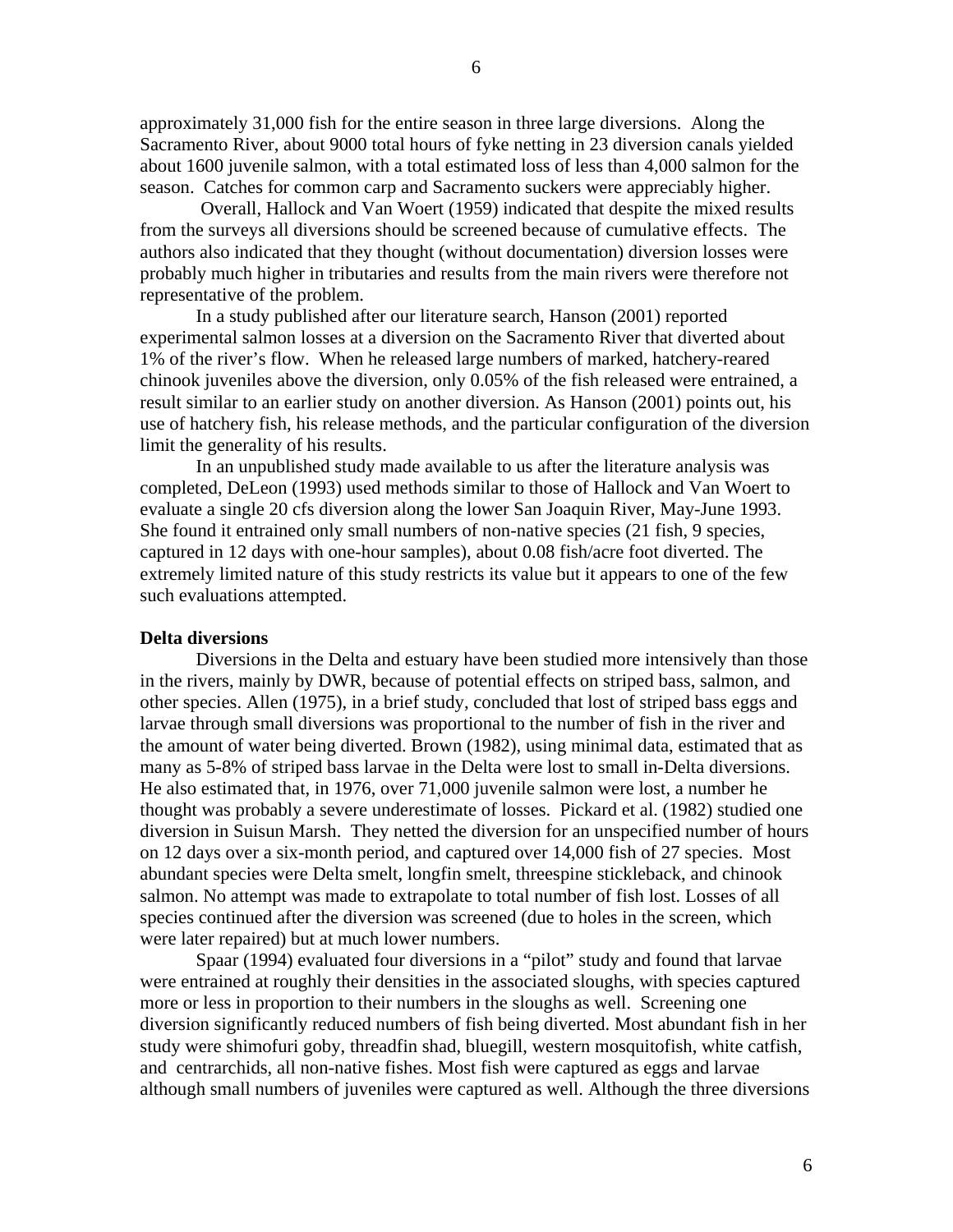approximately 31,000 fish for the entire season in three large diversions. Along the Sacramento River, about 9000 total hours of fyke netting in 23 diversion canals yielded about 1600 juvenile salmon, with a total estimated loss of less than 4,000 salmon for the season. Catches for common carp and Sacramento suckers were appreciably higher.

 Overall, Hallock and Van Woert (1959) indicated that despite the mixed results from the surveys all diversions should be screened because of cumulative effects. The authors also indicated that they thought (without documentation) diversion losses were probably much higher in tributaries and results from the main rivers were therefore not representative of the problem.

 In a study published after our literature search, Hanson (2001) reported experimental salmon losses at a diversion on the Sacramento River that diverted about 1% of the river's flow. When he released large numbers of marked, hatchery-reared chinook juveniles above the diversion, only 0.05% of the fish released were entrained, a result similar to an earlier study on another diversion. As Hanson (2001) points out, his use of hatchery fish, his release methods, and the particular configuration of the diversion limit the generality of his results.

 In an unpublished study made available to us after the literature analysis was completed, DeLeon (1993) used methods similar to those of Hallock and Van Woert to evaluate a single 20 cfs diversion along the lower San Joaquin River, May-June 1993. She found it entrained only small numbers of non-native species (21 fish, 9 species, captured in 12 days with one-hour samples), about 0.08 fish/acre foot diverted. The extremely limited nature of this study restricts its value but it appears to one of the few such evaluations attempted.

#### **Delta diversions**

 Diversions in the Delta and estuary have been studied more intensively than those in the rivers, mainly by DWR, because of potential effects on striped bass, salmon, and other species. Allen (1975), in a brief study, concluded that lost of striped bass eggs and larvae through small diversions was proportional to the number of fish in the river and the amount of water being diverted. Brown (1982), using minimal data, estimated that as many as 5-8% of striped bass larvae in the Delta were lost to small in-Delta diversions. He also estimated that, in 1976, over 71,000 juvenile salmon were lost, a number he thought was probably a severe underestimate of losses. Pickard et al. (1982) studied one diversion in Suisun Marsh. They netted the diversion for an unspecified number of hours on 12 days over a six-month period, and captured over 14,000 fish of 27 species. Most abundant species were Delta smelt, longfin smelt, threespine stickleback, and chinook salmon. No attempt was made to extrapolate to total number of fish lost. Losses of all species continued after the diversion was screened (due to holes in the screen, which were later repaired) but at much lower numbers.

 Spaar (1994) evaluated four diversions in a "pilot" study and found that larvae were entrained at roughly their densities in the associated sloughs, with species captured more or less in proportion to their numbers in the sloughs as well. Screening one diversion significantly reduced numbers of fish being diverted. Most abundant fish in her study were shimofuri goby, threadfin shad, bluegill, western mosquitofish, white catfish, and centrarchids, all non-native fishes. Most fish were captured as eggs and larvae although small numbers of juveniles were captured as well. Although the three diversions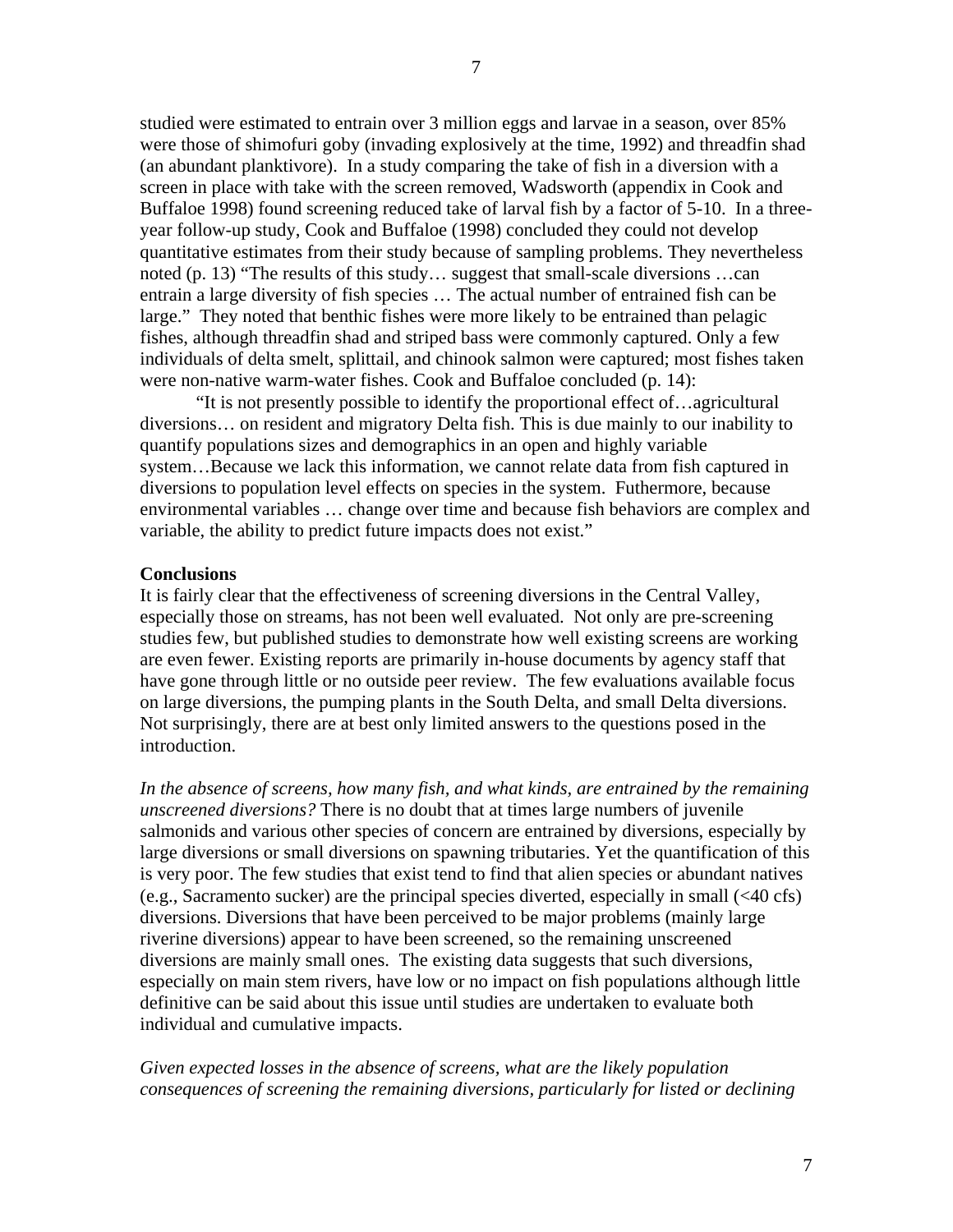studied were estimated to entrain over 3 million eggs and larvae in a season, over 85% were those of shimofuri goby (invading explosively at the time, 1992) and threadfin shad (an abundant planktivore). In a study comparing the take of fish in a diversion with a screen in place with take with the screen removed, Wadsworth (appendix in Cook and Buffaloe 1998) found screening reduced take of larval fish by a factor of 5-10. In a threeyear follow-up study, Cook and Buffaloe (1998) concluded they could not develop quantitative estimates from their study because of sampling problems. They nevertheless noted (p. 13) "The results of this study… suggest that small-scale diversions …can entrain a large diversity of fish species … The actual number of entrained fish can be large." They noted that benthic fishes were more likely to be entrained than pelagic fishes, although threadfin shad and striped bass were commonly captured. Only a few individuals of delta smelt, splittail, and chinook salmon were captured; most fishes taken were non-native warm-water fishes. Cook and Buffaloe concluded (p. 14):

 "It is not presently possible to identify the proportional effect of…agricultural diversions… on resident and migratory Delta fish. This is due mainly to our inability to quantify populations sizes and demographics in an open and highly variable system…Because we lack this information, we cannot relate data from fish captured in diversions to population level effects on species in the system. Futhermore, because environmental variables … change over time and because fish behaviors are complex and variable, the ability to predict future impacts does not exist."

### **Conclusions**

It is fairly clear that the effectiveness of screening diversions in the Central Valley, especially those on streams, has not been well evaluated. Not only are pre-screening studies few, but published studies to demonstrate how well existing screens are working are even fewer. Existing reports are primarily in-house documents by agency staff that have gone through little or no outside peer review. The few evaluations available focus on large diversions, the pumping plants in the South Delta, and small Delta diversions. Not surprisingly, there are at best only limited answers to the questions posed in the introduction.

*In the absence of screens, how many fish, and what kinds, are entrained by the remaining unscreened diversions?* There is no doubt that at times large numbers of juvenile salmonids and various other species of concern are entrained by diversions, especially by large diversions or small diversions on spawning tributaries. Yet the quantification of this is very poor. The few studies that exist tend to find that alien species or abundant natives (e.g., Sacramento sucker) are the principal species diverted, especially in small (<40 cfs) diversions. Diversions that have been perceived to be major problems (mainly large riverine diversions) appear to have been screened, so the remaining unscreened diversions are mainly small ones. The existing data suggests that such diversions, especially on main stem rivers, have low or no impact on fish populations although little definitive can be said about this issue until studies are undertaken to evaluate both individual and cumulative impacts.

*Given expected losses in the absence of screens, what are the likely population consequences of screening the remaining diversions, particularly for listed or declining*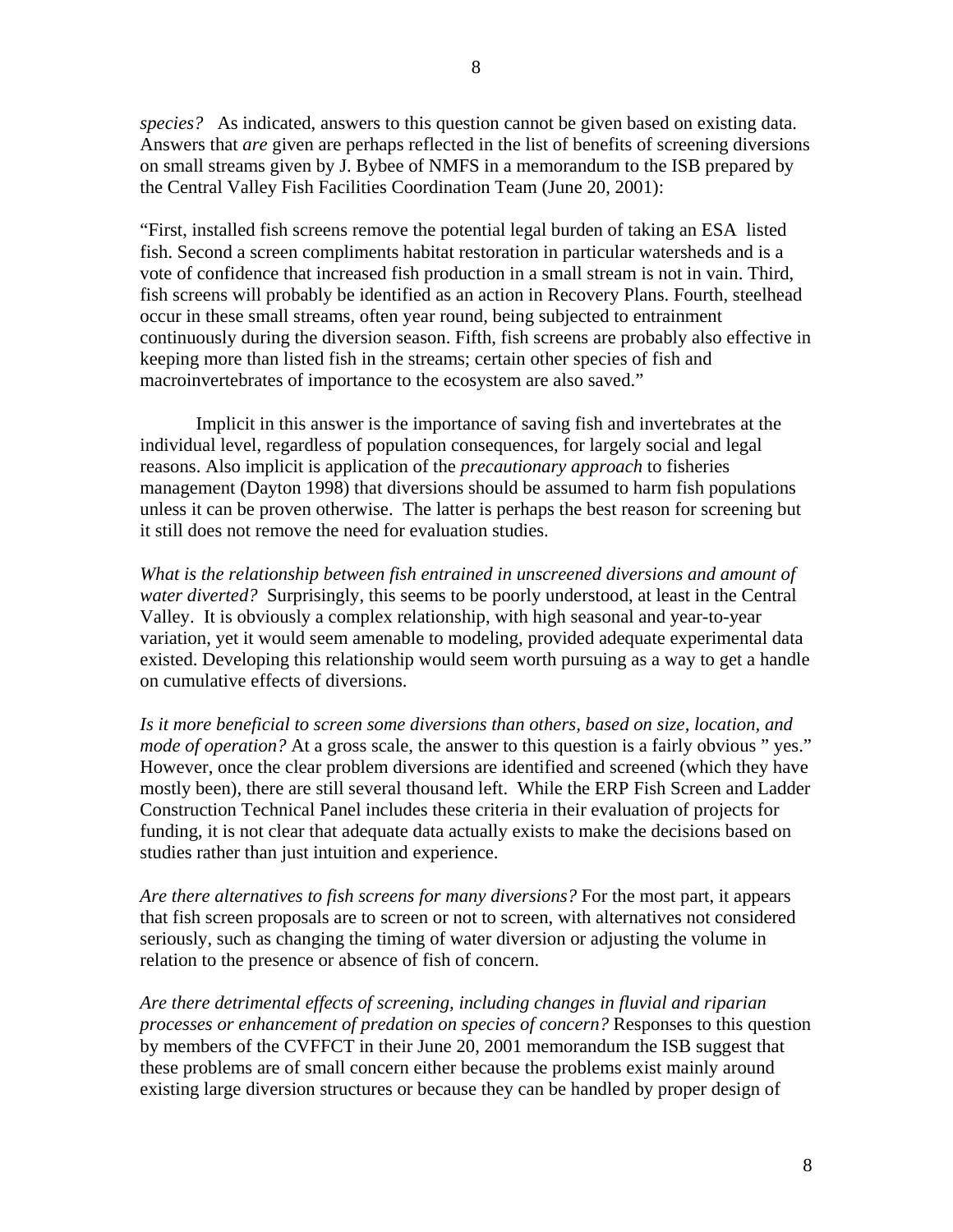*species?* As indicated, answers to this question cannot be given based on existing data. Answers that *are* given are perhaps reflected in the list of benefits of screening diversions on small streams given by J. Bybee of NMFS in a memorandum to the ISB prepared by the Central Valley Fish Facilities Coordination Team (June 20, 2001):

"First, installed fish screens remove the potential legal burden of taking an ESA listed fish. Second a screen compliments habitat restoration in particular watersheds and is a vote of confidence that increased fish production in a small stream is not in vain. Third, fish screens will probably be identified as an action in Recovery Plans. Fourth, steelhead occur in these small streams, often year round, being subjected to entrainment continuously during the diversion season. Fifth, fish screens are probably also effective in keeping more than listed fish in the streams; certain other species of fish and macroinvertebrates of importance to the ecosystem are also saved."

 Implicit in this answer is the importance of saving fish and invertebrates at the individual level, regardless of population consequences, for largely social and legal reasons. Also implicit is application of the *precautionary approach* to fisheries management (Dayton 1998) that diversions should be assumed to harm fish populations unless it can be proven otherwise. The latter is perhaps the best reason for screening but it still does not remove the need for evaluation studies.

*What is the relationship between fish entrained in unscreened diversions and amount of water diverted?* Surprisingly, this seems to be poorly understood, at least in the Central Valley. It is obviously a complex relationship, with high seasonal and year-to-year variation, yet it would seem amenable to modeling, provided adequate experimental data existed. Developing this relationship would seem worth pursuing as a way to get a handle on cumulative effects of diversions.

*Is it more beneficial to screen some diversions than others, based on size, location, and mode of operation?* At a gross scale, the answer to this question is a fairly obvious " yes." However, once the clear problem diversions are identified and screened (which they have mostly been), there are still several thousand left. While the ERP Fish Screen and Ladder Construction Technical Panel includes these criteria in their evaluation of projects for funding, it is not clear that adequate data actually exists to make the decisions based on studies rather than just intuition and experience.

*Are there alternatives to fish screens for many diversions?* For the most part, it appears that fish screen proposals are to screen or not to screen, with alternatives not considered seriously, such as changing the timing of water diversion or adjusting the volume in relation to the presence or absence of fish of concern.

*Are there detrimental effects of screening, including changes in fluvial and riparian processes or enhancement of predation on species of concern?* Responses to this question by members of the CVFFCT in their June 20, 2001 memorandum the ISB suggest that these problems are of small concern either because the problems exist mainly around existing large diversion structures or because they can be handled by proper design of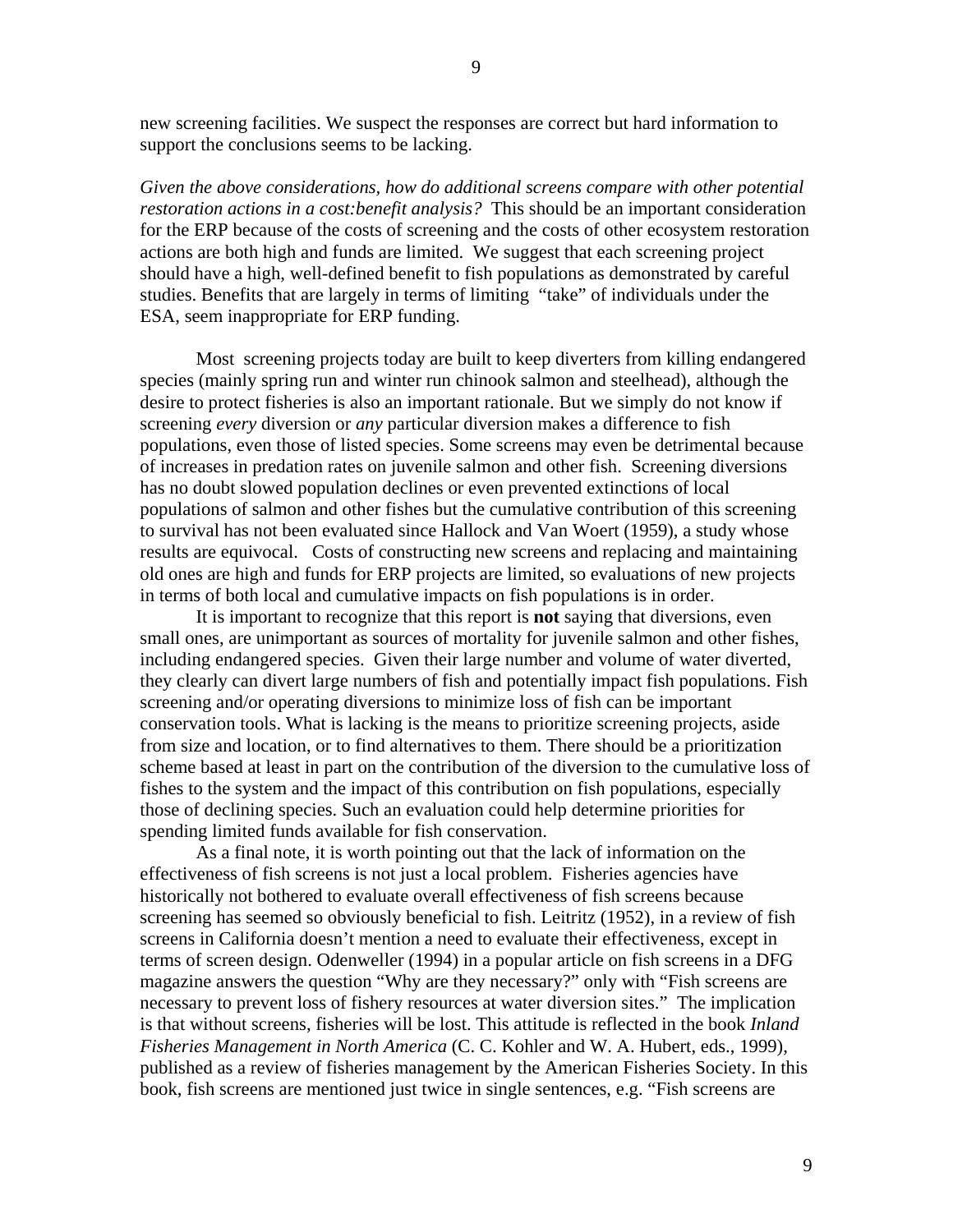new screening facilities. We suspect the responses are correct but hard information to support the conclusions seems to be lacking.

*Given the above considerations, how do additional screens compare with other potential restoration actions in a cost:benefit analysis?* This should be an important consideration for the ERP because of the costs of screening and the costs of other ecosystem restoration actions are both high and funds are limited. We suggest that each screening project should have a high, well-defined benefit to fish populations as demonstrated by careful studies. Benefits that are largely in terms of limiting "take" of individuals under the ESA, seem inappropriate for ERP funding.

Most screening projects today are built to keep diverters from killing endangered species (mainly spring run and winter run chinook salmon and steelhead), although the desire to protect fisheries is also an important rationale. But we simply do not know if screening *every* diversion or *any* particular diversion makes a difference to fish populations, even those of listed species. Some screens may even be detrimental because of increases in predation rates on juvenile salmon and other fish. Screening diversions has no doubt slowed population declines or even prevented extinctions of local populations of salmon and other fishes but the cumulative contribution of this screening to survival has not been evaluated since Hallock and Van Woert (1959), a study whose results are equivocal. Costs of constructing new screens and replacing and maintaining old ones are high and funds for ERP projects are limited, so evaluations of new projects in terms of both local and cumulative impacts on fish populations is in order.

 It is important to recognize that this report is **not** saying that diversions, even small ones, are unimportant as sources of mortality for juvenile salmon and other fishes, including endangered species. Given their large number and volume of water diverted, they clearly can divert large numbers of fish and potentially impact fish populations. Fish screening and/or operating diversions to minimize loss of fish can be important conservation tools. What is lacking is the means to prioritize screening projects, aside from size and location, or to find alternatives to them. There should be a prioritization scheme based at least in part on the contribution of the diversion to the cumulative loss of fishes to the system and the impact of this contribution on fish populations, especially those of declining species. Such an evaluation could help determine priorities for spending limited funds available for fish conservation.

 As a final note, it is worth pointing out that the lack of information on the effectiveness of fish screens is not just a local problem. Fisheries agencies have historically not bothered to evaluate overall effectiveness of fish screens because screening has seemed so obviously beneficial to fish. Leitritz (1952), in a review of fish screens in California doesn't mention a need to evaluate their effectiveness, except in terms of screen design. Odenweller (1994) in a popular article on fish screens in a DFG magazine answers the question "Why are they necessary?" only with "Fish screens are necessary to prevent loss of fishery resources at water diversion sites." The implication is that without screens, fisheries will be lost. This attitude is reflected in the book *Inland Fisheries Management in North America* (C. C. Kohler and W. A. Hubert, eds., 1999), published as a review of fisheries management by the American Fisheries Society. In this book, fish screens are mentioned just twice in single sentences, e.g. "Fish screens are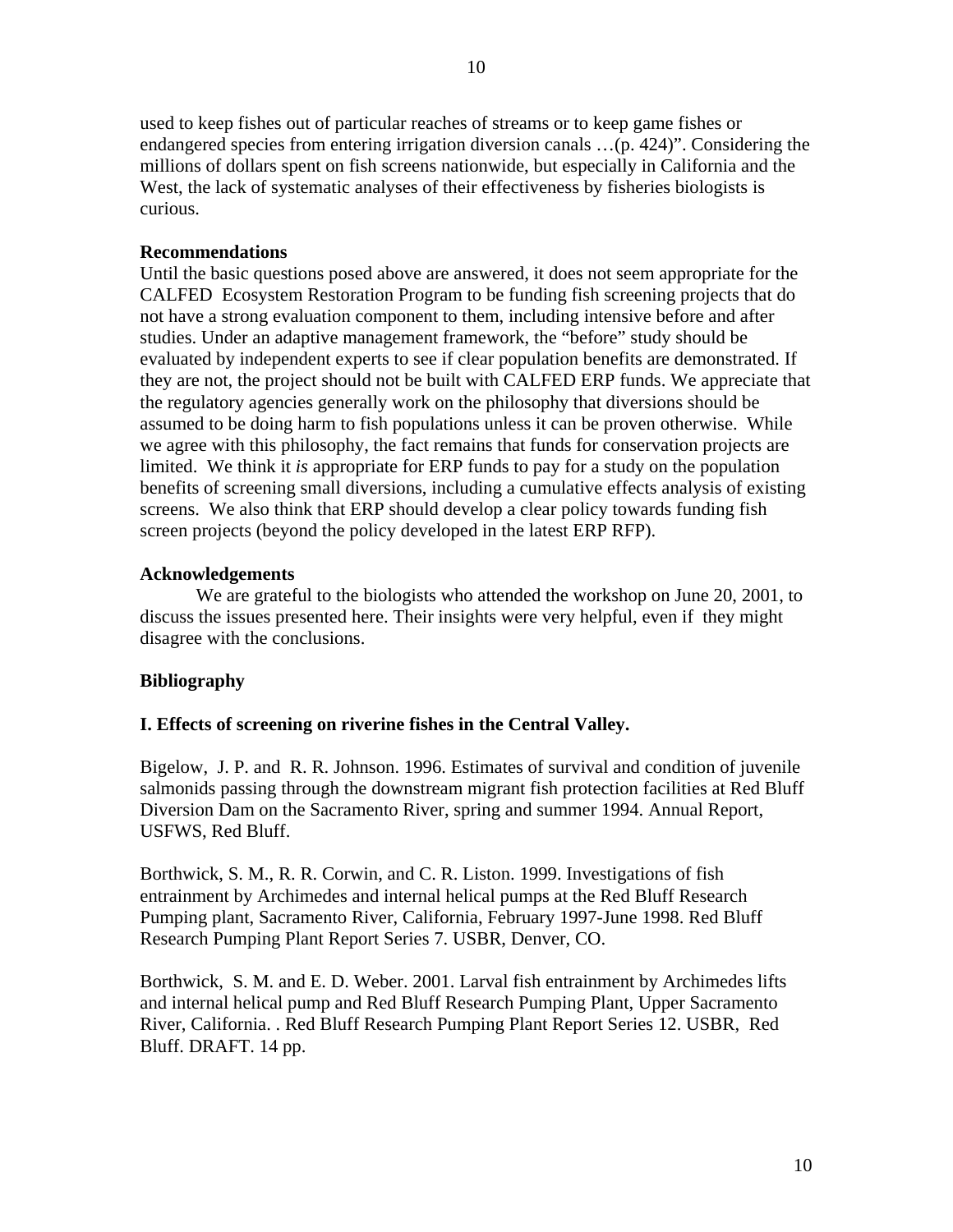used to keep fishes out of particular reaches of streams or to keep game fishes or endangered species from entering irrigation diversion canals …(p. 424)". Considering the millions of dollars spent on fish screens nationwide, but especially in California and the West, the lack of systematic analyses of their effectiveness by fisheries biologists is curious.

### **Recommendations**

Until the basic questions posed above are answered, it does not seem appropriate for the CALFED Ecosystem Restoration Program to be funding fish screening projects that do not have a strong evaluation component to them, including intensive before and after studies. Under an adaptive management framework, the "before" study should be evaluated by independent experts to see if clear population benefits are demonstrated. If they are not, the project should not be built with CALFED ERP funds. We appreciate that the regulatory agencies generally work on the philosophy that diversions should be assumed to be doing harm to fish populations unless it can be proven otherwise. While we agree with this philosophy, the fact remains that funds for conservation projects are limited. We think it *is* appropriate for ERP funds to pay for a study on the population benefits of screening small diversions, including a cumulative effects analysis of existing screens. We also think that ERP should develop a clear policy towards funding fish screen projects (beyond the policy developed in the latest ERP RFP).

#### **Acknowledgements**

 We are grateful to the biologists who attended the workshop on June 20, 2001, to discuss the issues presented here. Their insights were very helpful, even if they might disagree with the conclusions.

#### **Bibliography**

#### **I. Effects of screening on riverine fishes in the Central Valley.**

Bigelow, J. P. and R. R. Johnson. 1996. Estimates of survival and condition of juvenile salmonids passing through the downstream migrant fish protection facilities at Red Bluff Diversion Dam on the Sacramento River, spring and summer 1994. Annual Report, USFWS, Red Bluff.

Borthwick, S. M., R. R. Corwin, and C. R. Liston. 1999. Investigations of fish entrainment by Archimedes and internal helical pumps at the Red Bluff Research Pumping plant, Sacramento River, California, February 1997-June 1998. Red Bluff Research Pumping Plant Report Series 7. USBR, Denver, CO.

Borthwick, S. M. and E. D. Weber. 2001. Larval fish entrainment by Archimedes lifts and internal helical pump and Red Bluff Research Pumping Plant, Upper Sacramento River, California. . Red Bluff Research Pumping Plant Report Series 12. USBR, Red Bluff. DRAFT. 14 pp.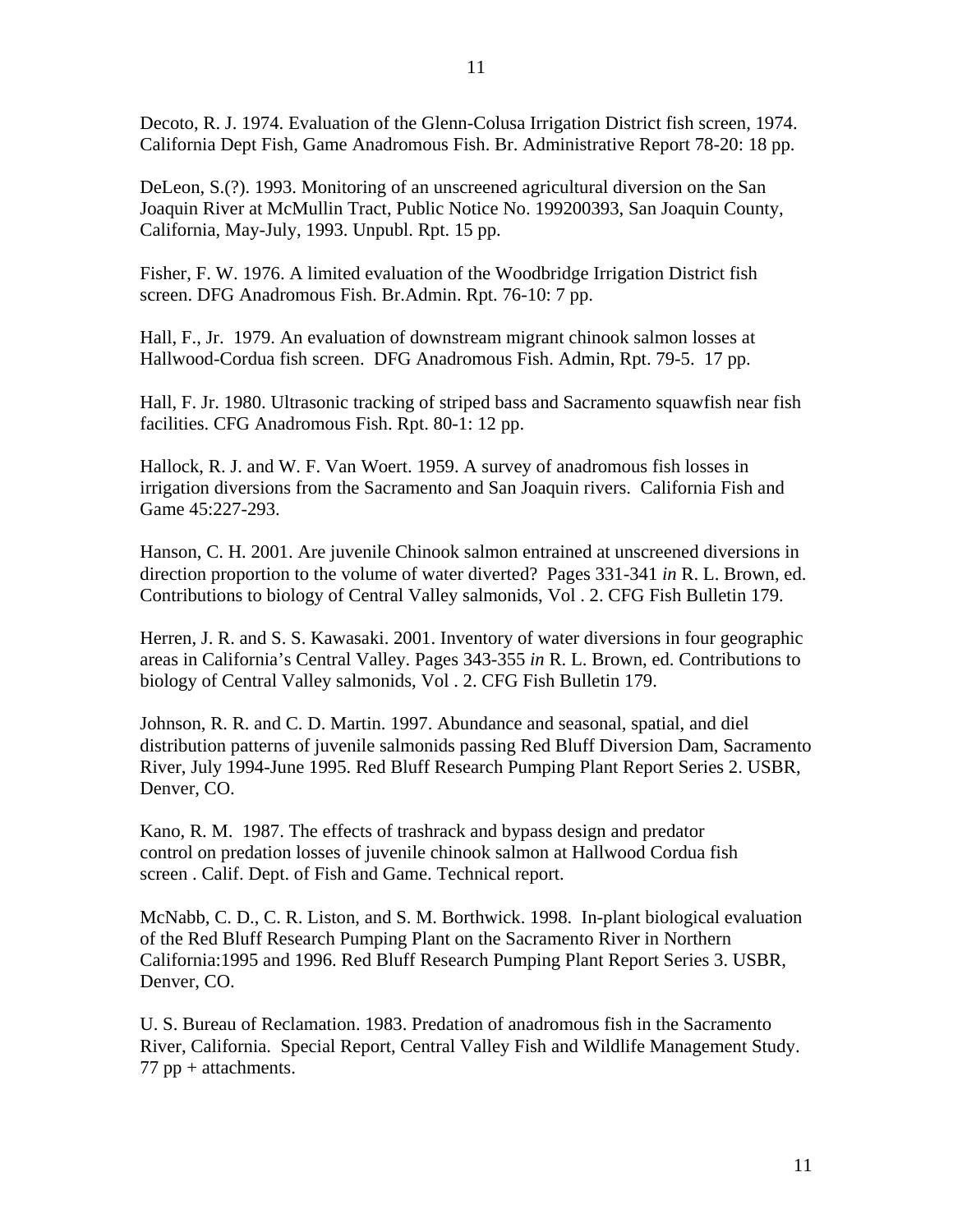Decoto, R. J. 1974. Evaluation of the Glenn-Colusa Irrigation District fish screen, 1974. California Dept Fish, Game Anadromous Fish. Br. Administrative Report 78-20: 18 pp.

DeLeon, S.(?). 1993. Monitoring of an unscreened agricultural diversion on the San Joaquin River at McMullin Tract, Public Notice No. 199200393, San Joaquin County, California, May-July, 1993. Unpubl. Rpt. 15 pp.

Fisher, F. W. 1976. A limited evaluation of the Woodbridge Irrigation District fish screen. DFG Anadromous Fish. Br.Admin. Rpt. 76-10: 7 pp.

Hall, F., Jr. 1979. An evaluation of downstream migrant chinook salmon losses at Hallwood-Cordua fish screen. DFG Anadromous Fish. Admin, Rpt. 79-5. 17 pp.

Hall, F. Jr. 1980. Ultrasonic tracking of striped bass and Sacramento squawfish near fish facilities. CFG Anadromous Fish. Rpt. 80-1: 12 pp.

Hallock, R. J. and W. F. Van Woert. 1959. A survey of anadromous fish losses in irrigation diversions from the Sacramento and San Joaquin rivers. California Fish and Game 45:227-293.

Hanson, C. H. 2001. Are juvenile Chinook salmon entrained at unscreened diversions in direction proportion to the volume of water diverted? Pages 331-341 *in* R. L. Brown, ed. Contributions to biology of Central Valley salmonids, Vol . 2. CFG Fish Bulletin 179.

Herren, J. R. and S. S. Kawasaki. 2001. Inventory of water diversions in four geographic areas in California's Central Valley. Pages 343-355 *in* R. L. Brown, ed. Contributions to biology of Central Valley salmonids, Vol . 2. CFG Fish Bulletin 179.

Johnson, R. R. and C. D. Martin. 1997. Abundance and seasonal, spatial, and diel distribution patterns of juvenile salmonids passing Red Bluff Diversion Dam, Sacramento River, July 1994-June 1995. Red Bluff Research Pumping Plant Report Series 2. USBR, Denver, CO.

Kano, R. M. 1987. The effects of trashrack and bypass design and predator control on predation losses of juvenile chinook salmon at Hallwood Cordua fish screen . Calif. Dept. of Fish and Game. Technical report.

McNabb, C. D., C. R. Liston, and S. M. Borthwick. 1998. In-plant biological evaluation of the Red Bluff Research Pumping Plant on the Sacramento River in Northern California:1995 and 1996. Red Bluff Research Pumping Plant Report Series 3. USBR, Denver, CO.

U. S. Bureau of Reclamation. 1983. Predation of anadromous fish in the Sacramento River, California. Special Report, Central Valley Fish and Wildlife Management Study.  $77$  pp + attachments.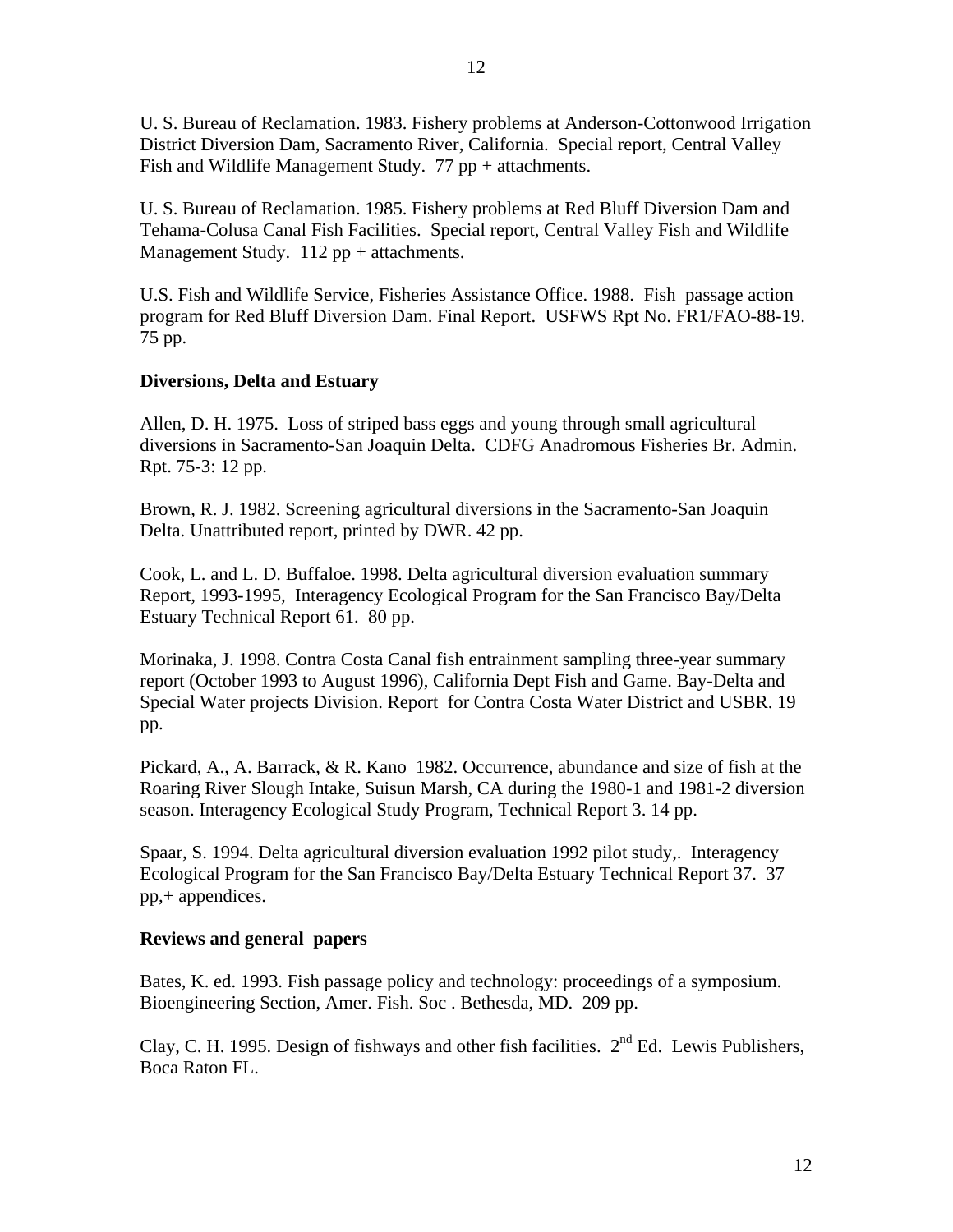U. S. Bureau of Reclamation. 1983. Fishery problems at Anderson-Cottonwood Irrigation District Diversion Dam, Sacramento River, California. Special report, Central Valley Fish and Wildlife Management Study. 77 pp + attachments.

U. S. Bureau of Reclamation. 1985. Fishery problems at Red Bluff Diversion Dam and Tehama-Colusa Canal Fish Facilities. Special report, Central Valley Fish and Wildlife Management Study.  $112$  pp + attachments.

U.S. Fish and Wildlife Service, Fisheries Assistance Office. 1988. Fish passage action program for Red Bluff Diversion Dam. Final Report. USFWS Rpt No. FR1/FAO-88-19. 75 pp.

# **Diversions, Delta and Estuary**

Allen, D. H. 1975. Loss of striped bass eggs and young through small agricultural diversions in Sacramento-San Joaquin Delta. CDFG Anadromous Fisheries Br. Admin. Rpt. 75-3: 12 pp.

Brown, R. J. 1982. Screening agricultural diversions in the Sacramento-San Joaquin Delta. Unattributed report, printed by DWR. 42 pp.

Cook, L. and L. D. Buffaloe. 1998. Delta agricultural diversion evaluation summary Report, 1993-1995, Interagency Ecological Program for the San Francisco Bay/Delta Estuary Technical Report 61. 80 pp.

Morinaka, J. 1998. Contra Costa Canal fish entrainment sampling three-year summary report (October 1993 to August 1996), California Dept Fish and Game. Bay-Delta and Special Water projects Division. Report for Contra Costa Water District and USBR. 19 pp.

Pickard, A., A. Barrack, & R. Kano 1982. Occurrence, abundance and size of fish at the Roaring River Slough Intake, Suisun Marsh, CA during the 1980-1 and 1981-2 diversion season. Interagency Ecological Study Program, Technical Report 3. 14 pp.

Spaar, S. 1994. Delta agricultural diversion evaluation 1992 pilot study,. Interagency Ecological Program for the San Francisco Bay/Delta Estuary Technical Report 37. 37 pp,+ appendices.

## **Reviews and general papers**

Bates, K. ed. 1993. Fish passage policy and technology: proceedings of a symposium. Bioengineering Section, Amer. Fish. Soc . Bethesda, MD. 209 pp.

Clay, C. H. 1995. Design of fishways and other fish facilities.  $2^{nd}$  Ed. Lewis Publishers, Boca Raton FL.